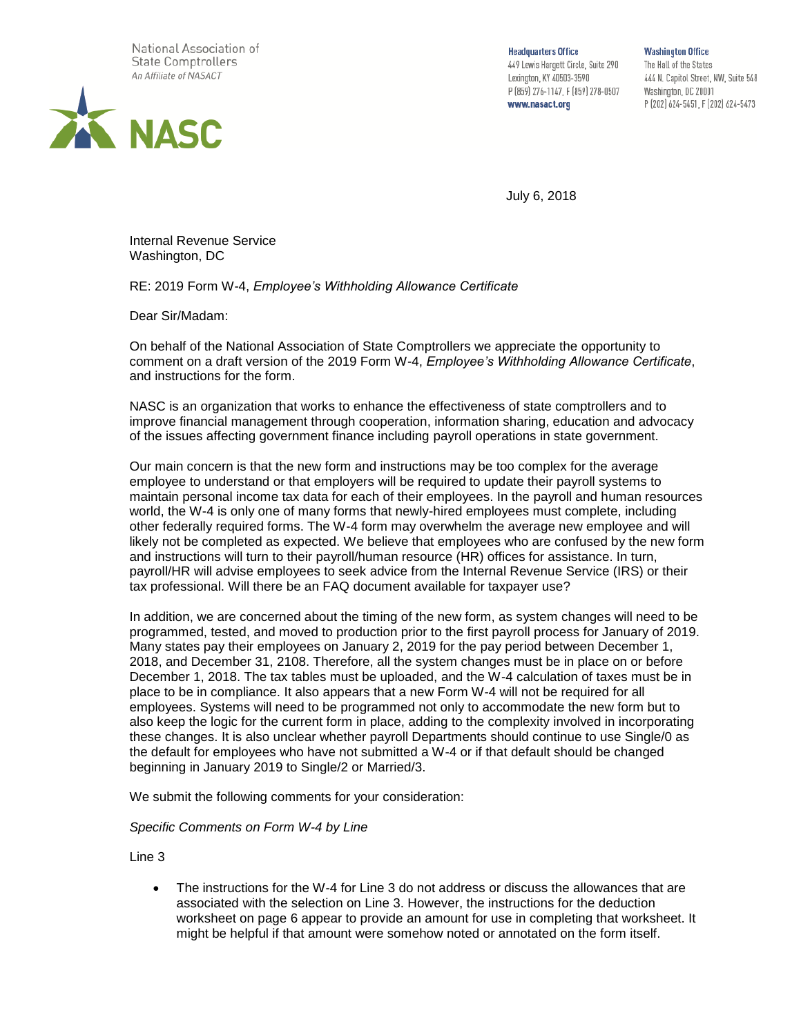

**Headquarters Office** 449 Lewis Hargett Circle, Suite 290 Lexington, KY 40503-3590 P (859) 276-1147, F (859) 278-0507 www.nasact.org

**Washington Office** The Hall of the States 444 N. Capitol Street, NW, Suite 548 Washington, DC 20001 P (202) 624-5451, F (202) 624-5473

July 6, 2018

Internal Revenue Service Washington, DC

RE: 2019 Form W-4, *Employee's Withholding Allowance Certificate*

Dear Sir/Madam:

On behalf of the National Association of State Comptrollers we appreciate the opportunity to comment on a draft version of the 2019 Form W-4, *Employee's Withholding Allowance Certificate*, and instructions for the form.

NASC is an organization that works to enhance the effectiveness of state comptrollers and to improve financial management through cooperation, information sharing, education and advocacy of the issues affecting government finance including payroll operations in state government.

Our main concern is that the new form and instructions may be too complex for the average employee to understand or that employers will be required to update their payroll systems to maintain personal income tax data for each of their employees. In the payroll and human resources world, the W-4 is only one of many forms that newly-hired employees must complete, including other federally required forms. The W-4 form may overwhelm the average new employee and will likely not be completed as expected. We believe that employees who are confused by the new form and instructions will turn to their payroll/human resource (HR) offices for assistance. In turn, payroll/HR will advise employees to seek advice from the Internal Revenue Service (IRS) or their tax professional. Will there be an FAQ document available for taxpayer use?

In addition, we are concerned about the timing of the new form, as system changes will need to be programmed, tested, and moved to production prior to the first payroll process for January of 2019. Many states pay their employees on January 2, 2019 for the pay period between December 1, 2018, and December 31, 2108. Therefore, all the system changes must be in place on or before December 1, 2018. The tax tables must be uploaded, and the W-4 calculation of taxes must be in place to be in compliance. It also appears that a new Form W-4 will not be required for all employees. Systems will need to be programmed not only to accommodate the new form but to also keep the logic for the current form in place, adding to the complexity involved in incorporating these changes. It is also unclear whether payroll Departments should continue to use Single/0 as the default for employees who have not submitted a W-4 or if that default should be changed beginning in January 2019 to Single/2 or Married/3.

We submit the following comments for your consideration:

*Specific Comments on Form W-4 by Line*

Line 3

• The instructions for the W-4 for Line 3 do not address or discuss the allowances that are associated with the selection on Line 3. However, the instructions for the deduction worksheet on page 6 appear to provide an amount for use in completing that worksheet. It might be helpful if that amount were somehow noted or annotated on the form itself.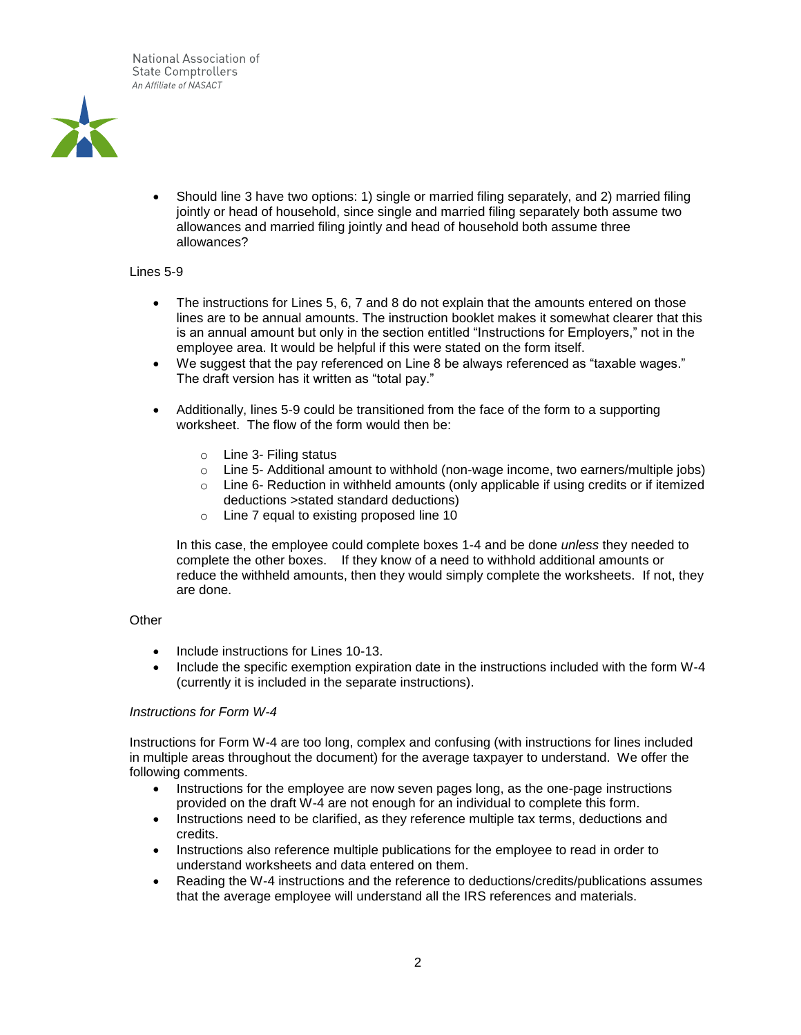

• Should line 3 have two options: 1) single or married filing separately, and 2) married filing jointly or head of household, since single and married filing separately both assume two allowances and married filing jointly and head of household both assume three allowances?

## Lines 5-9

- The instructions for Lines 5, 6, 7 and 8 do not explain that the amounts entered on those lines are to be annual amounts. The instruction booklet makes it somewhat clearer that this is an annual amount but only in the section entitled "Instructions for Employers," not in the employee area. It would be helpful if this were stated on the form itself.
- We suggest that the pay referenced on Line 8 be always referenced as "taxable wages." The draft version has it written as "total pay."
- Additionally, lines 5-9 could be transitioned from the face of the form to a supporting worksheet. The flow of the form would then be:
	- o Line 3- Filing status
	- o Line 5- Additional amount to withhold (non-wage income, two earners/multiple jobs)
	- $\circ$  Line 6- Reduction in withheld amounts (only applicable if using credits or if itemized deductions >stated standard deductions)
	- o Line 7 equal to existing proposed line 10

In this case, the employee could complete boxes 1-4 and be done *unless* they needed to complete the other boxes. If they know of a need to withhold additional amounts or reduce the withheld amounts, then they would simply complete the worksheets. If not, they are done.

## **Other**

- Include instructions for Lines 10-13.
- Include the specific exemption expiration date in the instructions included with the form W-4 (currently it is included in the separate instructions).

## *Instructions for Form W-4*

Instructions for Form W-4 are too long, complex and confusing (with instructions for lines included in multiple areas throughout the document) for the average taxpayer to understand. We offer the following comments.

- Instructions for the employee are now seven pages long, as the one-page instructions provided on the draft W-4 are not enough for an individual to complete this form.
- Instructions need to be clarified, as they reference multiple tax terms, deductions and credits.
- Instructions also reference multiple publications for the employee to read in order to understand worksheets and data entered on them.
- Reading the W-4 instructions and the reference to deductions/credits/publications assumes that the average employee will understand all the IRS references and materials.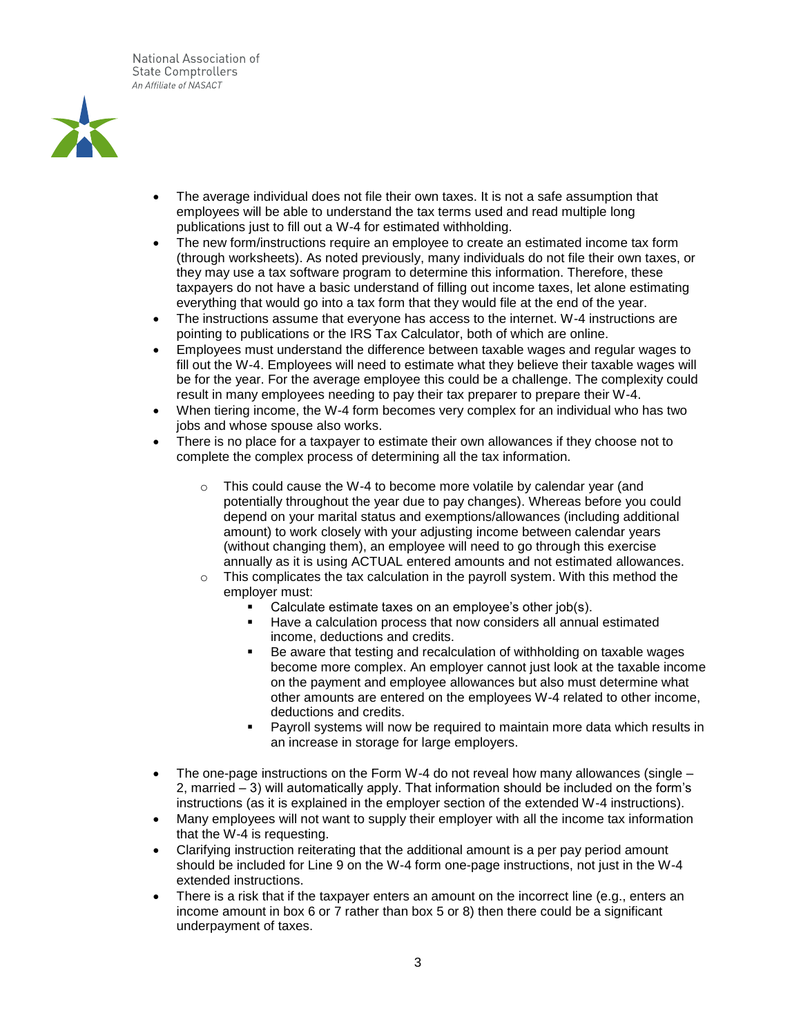

- The average individual does not file their own taxes. It is not a safe assumption that employees will be able to understand the tax terms used and read multiple long publications just to fill out a W-4 for estimated withholding.
- The new form/instructions require an employee to create an estimated income tax form (through worksheets). As noted previously, many individuals do not file their own taxes, or they may use a tax software program to determine this information. Therefore, these taxpayers do not have a basic understand of filling out income taxes, let alone estimating everything that would go into a tax form that they would file at the end of the year.
- The instructions assume that everyone has access to the internet. W-4 instructions are pointing to publications or the IRS Tax Calculator, both of which are online.
- Employees must understand the difference between taxable wages and regular wages to fill out the W-4. Employees will need to estimate what they believe their taxable wages will be for the year. For the average employee this could be a challenge. The complexity could result in many employees needing to pay their tax preparer to prepare their W-4.
- When tiering income, the W-4 form becomes very complex for an individual who has two jobs and whose spouse also works.
- There is no place for a taxpayer to estimate their own allowances if they choose not to complete the complex process of determining all the tax information.
	- $\circ$  This could cause the W-4 to become more volatile by calendar year (and potentially throughout the year due to pay changes). Whereas before you could depend on your marital status and exemptions/allowances (including additional amount) to work closely with your adjusting income between calendar years (without changing them), an employee will need to go through this exercise annually as it is using ACTUAL entered amounts and not estimated allowances.
	- $\circ$  This complicates the tax calculation in the payroll system. With this method the employer must:
		- Calculate estimate taxes on an employee's other job(s).
		- Have a calculation process that now considers all annual estimated income, deductions and credits.
		- Be aware that testing and recalculation of withholding on taxable wages become more complex. An employer cannot just look at the taxable income on the payment and employee allowances but also must determine what other amounts are entered on the employees W-4 related to other income, deductions and credits.
		- Payroll systems will now be required to maintain more data which results in an increase in storage for large employers.
- The one-page instructions on the Form W-4 do not reveal how many allowances (single 2, married – 3) will automatically apply. That information should be included on the form's instructions (as it is explained in the employer section of the extended W-4 instructions).
- Many employees will not want to supply their employer with all the income tax information that the W-4 is requesting.
- Clarifying instruction reiterating that the additional amount is a per pay period amount should be included for Line 9 on the W-4 form one-page instructions, not just in the W-4 extended instructions.
- There is a risk that if the taxpayer enters an amount on the incorrect line (e.g., enters an income amount in box 6 or 7 rather than box 5 or 8) then there could be a significant underpayment of taxes.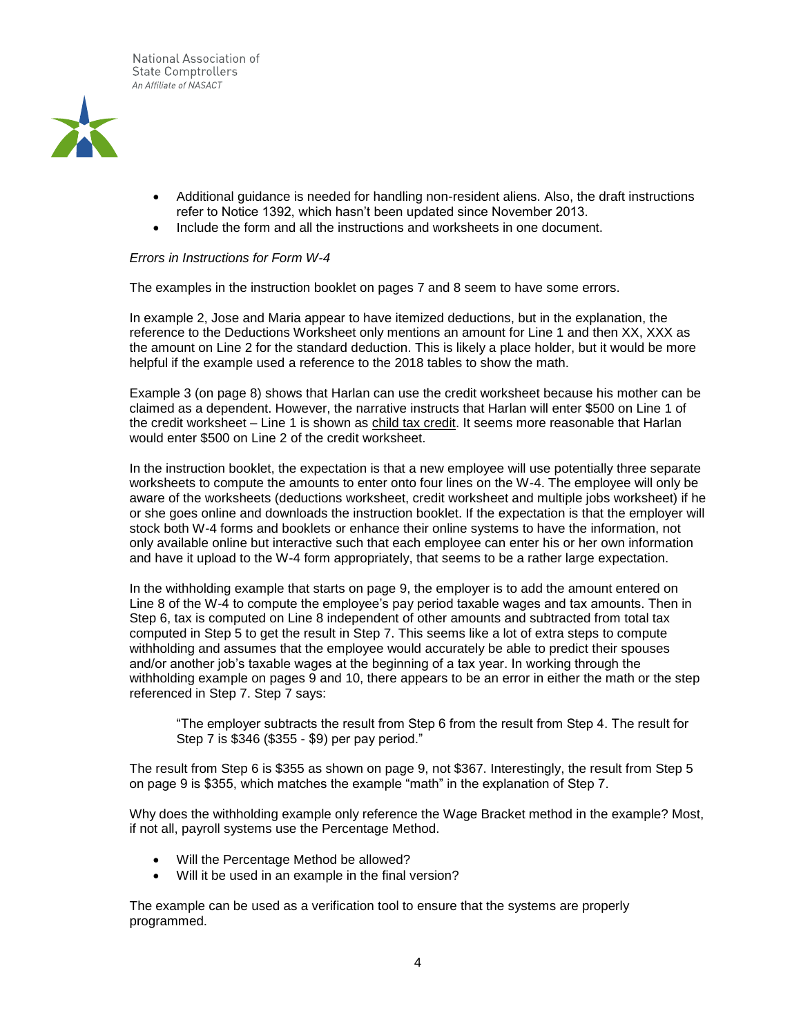

- Additional guidance is needed for handling non-resident aliens. Also, the draft instructions refer to Notice 1392, which hasn't been updated since November 2013.
- Include the form and all the instructions and worksheets in one document.

## *Errors in Instructions for Form W-4*

The examples in the instruction booklet on pages 7 and 8 seem to have some errors.

In example 2, Jose and Maria appear to have itemized deductions, but in the explanation, the reference to the Deductions Worksheet only mentions an amount for Line 1 and then XX, XXX as the amount on Line 2 for the standard deduction. This is likely a place holder, but it would be more helpful if the example used a reference to the 2018 tables to show the math.

Example 3 (on page 8) shows that Harlan can use the credit worksheet because his mother can be claimed as a dependent. However, the narrative instructs that Harlan will enter \$500 on Line 1 of the credit worksheet – Line 1 is shown as child tax credit. It seems more reasonable that Harlan would enter \$500 on Line 2 of the credit worksheet.

In the instruction booklet, the expectation is that a new employee will use potentially three separate worksheets to compute the amounts to enter onto four lines on the W-4. The employee will only be aware of the worksheets (deductions worksheet, credit worksheet and multiple jobs worksheet) if he or she goes online and downloads the instruction booklet. If the expectation is that the employer will stock both W-4 forms and booklets or enhance their online systems to have the information, not only available online but interactive such that each employee can enter his or her own information and have it upload to the W-4 form appropriately, that seems to be a rather large expectation.

In the withholding example that starts on page 9, the employer is to add the amount entered on Line 8 of the W-4 to compute the employee's pay period taxable wages and tax amounts. Then in Step 6, tax is computed on Line 8 independent of other amounts and subtracted from total tax computed in Step 5 to get the result in Step 7. This seems like a lot of extra steps to compute withholding and assumes that the employee would accurately be able to predict their spouses and/or another job's taxable wages at the beginning of a tax year. In working through the withholding example on pages 9 and 10, there appears to be an error in either the math or the step referenced in Step 7. Step 7 says:

"The employer subtracts the result from Step 6 from the result from Step 4. The result for Step 7 is \$346 (\$355 - \$9) per pay period."

The result from Step 6 is \$355 as shown on page 9, not \$367. Interestingly, the result from Step 5 on page 9 is \$355, which matches the example "math" in the explanation of Step 7.

Why does the withholding example only reference the Wage Bracket method in the example? Most, if not all, payroll systems use the Percentage Method.

- Will the Percentage Method be allowed?
- Will it be used in an example in the final version?

The example can be used as a verification tool to ensure that the systems are properly programmed.